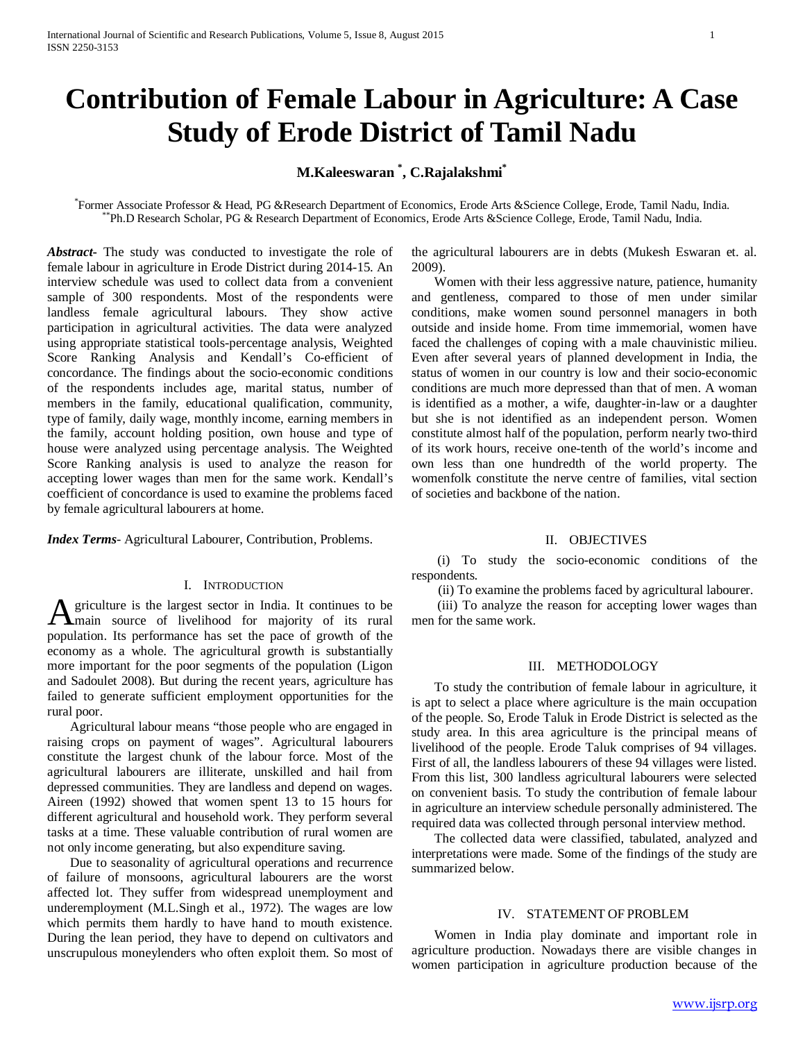# **Contribution of Female Labour in Agriculture: A Case Study of Erode District of Tamil Nadu**

## **M.Kaleeswaran \* , C.Rajalakshmi\***

Former Associate Professor & Head. PG &Research Department of Economics. Erode Arts &Science College. Erode. Tamil Nadu, India. \*Ph.D Research Scholar, PG & Research Department of Economics, Erode Arts & Science College, Erode, Tamil Nadu, India.

*Abstract***-** The study was conducted to investigate the role of female labour in agriculture in Erode District during 2014-15. An interview schedule was used to collect data from a convenient sample of 300 respondents. Most of the respondents were landless female agricultural labours. They show active participation in agricultural activities. The data were analyzed using appropriate statistical tools-percentage analysis, Weighted Score Ranking Analysis and Kendall's Co-efficient of concordance. The findings about the socio-economic conditions of the respondents includes age, marital status, number of members in the family, educational qualification, community, type of family, daily wage, monthly income, earning members in the family, account holding position, own house and type of house were analyzed using percentage analysis. The Weighted Score Ranking analysis is used to analyze the reason for accepting lower wages than men for the same work. Kendall's coefficient of concordance is used to examine the problems faced by female agricultural labourers at home.

*Index Terms*- Agricultural Labourer, Contribution, Problems.

#### I. INTRODUCTION

griculture is the largest sector in India. It continues to be A griculture is the largest sector in India. It continues to be<br>
main source of livelihood for majority of its rural population. Its performance has set the pace of growth of the economy as a whole. The agricultural growth is substantially more important for the poor segments of the population (Ligon and Sadoulet 2008). But during the recent years, agriculture has failed to generate sufficient employment opportunities for the rural poor.

 Agricultural labour means "those people who are engaged in raising crops on payment of wages". Agricultural labourers constitute the largest chunk of the labour force. Most of the agricultural labourers are illiterate, unskilled and hail from depressed communities. They are landless and depend on wages. Aireen (1992) showed that women spent 13 to 15 hours for different agricultural and household work. They perform several tasks at a time. These valuable contribution of rural women are not only income generating, but also expenditure saving.

 Due to seasonality of agricultural operations and recurrence of failure of monsoons, agricultural labourers are the worst affected lot. They suffer from widespread unemployment and underemployment (M.L.Singh et al., 1972). The wages are low which permits them hardly to have hand to mouth existence. During the lean period, they have to depend on cultivators and unscrupulous moneylenders who often exploit them. So most of the agricultural labourers are in debts (Mukesh Eswaran et. al. 2009).

 Women with their less aggressive nature, patience, humanity and gentleness, compared to those of men under similar conditions, make women sound personnel managers in both outside and inside home. From time immemorial, women have faced the challenges of coping with a male chauvinistic milieu. Even after several years of planned development in India, the status of women in our country is low and their socio-economic conditions are much more depressed than that of men. A woman is identified as a mother, a wife, daughter-in-law or a daughter but she is not identified as an independent person. Women constitute almost half of the population, perform nearly two-third of its work hours, receive one-tenth of the world's income and own less than one hundredth of the world property. The womenfolk constitute the nerve centre of families, vital section of societies and backbone of the nation.

## II. OBJECTIVES

 (i) To study the socio-economic conditions of the respondents.

(ii) To examine the problems faced by agricultural labourer.

 (iii) To analyze the reason for accepting lower wages than men for the same work.

#### III. METHODOLOGY

 To study the contribution of female labour in agriculture, it is apt to select a place where agriculture is the main occupation of the people. So, Erode Taluk in Erode District is selected as the study area. In this area agriculture is the principal means of livelihood of the people. Erode Taluk comprises of 94 villages. First of all, the landless labourers of these 94 villages were listed. From this list, 300 landless agricultural labourers were selected on convenient basis. To study the contribution of female labour in agriculture an interview schedule personally administered. The required data was collected through personal interview method.

 The collected data were classified, tabulated, analyzed and interpretations were made. Some of the findings of the study are summarized below.

#### IV. STATEMENT OF PROBLEM

 Women in India play dominate and important role in agriculture production. Nowadays there are visible changes in women participation in agriculture production because of the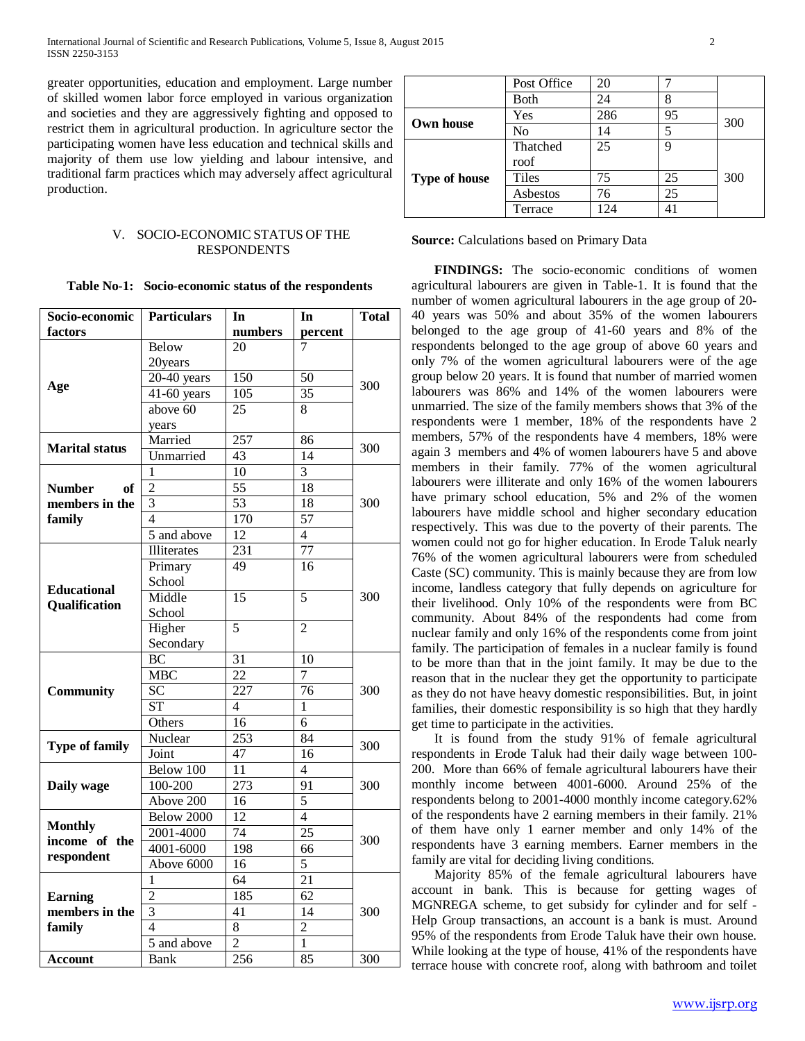greater opportunities, education and employment. Large number of skilled women labor force employed in various organization and societies and they are aggressively fighting and opposed to restrict them in agricultural production. In agriculture sector the participating women have less education and technical skills and majority of them use low yielding and labour intensive, and traditional farm practices which may adversely affect agricultural production.

#### V. SOCIO-ECONOMIC STATUS OF THE RESPONDENTS

|  | Table No-1: Socio-economic status of the respondents |  |  |  |
|--|------------------------------------------------------|--|--|--|
|--|------------------------------------------------------|--|--|--|

| Socio-economic        | <b>Particulars</b><br>In |                          | In              | <b>Total</b> |  |
|-----------------------|--------------------------|--------------------------|-----------------|--------------|--|
| factors               |                          | numbers                  | percent         |              |  |
|                       | <b>Below</b>             | 20                       | 7               |              |  |
|                       | 20years                  |                          |                 |              |  |
|                       | $20-40$ years            | 150                      | 50              |              |  |
| Age                   | $41-60$ years            | 105                      | 35              | 300          |  |
|                       | above $60$               | 25                       | 8               |              |  |
|                       | years                    |                          |                 |              |  |
|                       | Married                  | $\overline{257}$         | 86              |              |  |
| <b>Marital status</b> | Unmarried                | $\overline{43}$          | $\overline{14}$ | 300          |  |
|                       | 1                        | 10                       | $\overline{3}$  |              |  |
| <b>Number</b><br>of   | $\overline{2}$           | $\overline{55}$          | $\overline{18}$ |              |  |
| members in the        | $\overline{3}$           | 53                       | 18              | 300          |  |
| family                | $\overline{4}$           | 170                      | $\overline{57}$ |              |  |
|                       | 5 and above              | $\overline{12}$          | $\overline{4}$  |              |  |
|                       | <b>Illiterates</b>       | 231                      | 77              |              |  |
|                       | Primary                  | 49                       | 16              |              |  |
|                       | School                   |                          |                 |              |  |
| <b>Educational</b>    | Middle                   | 15                       | 5               | 300          |  |
| Qualification         | School                   |                          |                 |              |  |
|                       | Higher                   | 5                        | $\overline{2}$  |              |  |
|                       | Secondary                |                          |                 |              |  |
|                       | BC                       | $\overline{31}$          | 10              |              |  |
|                       | <b>MBC</b>               | 22                       | $\overline{7}$  | 300          |  |
| <b>Community</b>      | $\overline{SC}$          | 227                      | 76              |              |  |
|                       | <b>ST</b>                | $\overline{\mathcal{L}}$ | 1               |              |  |
|                       | Others                   | 16                       | 6               |              |  |
|                       | Nuclear                  | 253                      | 84              |              |  |
| <b>Type of family</b> | Joint                    | 47                       | 16              | 300          |  |
|                       | Below 100                | $\overline{11}$          | $\overline{4}$  |              |  |
| Daily wage            | 100-200                  | 273                      | 91              | 300          |  |
|                       | Above 200                | 16                       | 5               |              |  |
|                       | Below 2000               | 12                       | $\overline{4}$  |              |  |
| <b>Monthly</b>        | 2001-4000                | 74                       | 25              |              |  |
| income of the         | 4001-6000                | 198                      | 66              | 300          |  |
| respondent            | Above 6000               | 16                       | $\overline{5}$  |              |  |
|                       | 1                        | 64                       | 21              |              |  |
| <b>Earning</b>        | $\overline{c}$           | 185                      | 62              |              |  |
| members in the        | $\overline{3}$           | 41                       | 14              | 300          |  |
| family                | $\overline{\mathcal{L}}$ | 8                        | $\overline{2}$  |              |  |
|                       | 5 and above              | $\overline{2}$           | 1               |              |  |
|                       | Bank                     | 256                      | 85              | 300          |  |
| <b>Account</b>        |                          |                          |                 |              |  |

|                      | Post Office | 20  |    |     |  |
|----------------------|-------------|-----|----|-----|--|
|                      | <b>Both</b> | 24  |    |     |  |
| <b>Own house</b>     | Yes         | 286 | 95 | 300 |  |
|                      | No          | 14  | 5  |     |  |
|                      | Thatched    | 25  | 9  |     |  |
|                      | roof        |     |    |     |  |
| <b>Type of house</b> | Tiles       | 75  | 25 | 300 |  |
|                      | Asbestos    | 76  | 25 |     |  |
|                      | Terrace     | 24  |    |     |  |

**Source:** Calculations based on Primary Data

 **FINDINGS:** The socio-economic conditions of women agricultural labourers are given in Table-1. It is found that the number of women agricultural labourers in the age group of 20- 40 years was 50% and about 35% of the women labourers belonged to the age group of 41-60 years and 8% of the respondents belonged to the age group of above 60 years and only 7% of the women agricultural labourers were of the age group below 20 years. It is found that number of married women labourers was 86% and 14% of the women labourers were unmarried. The size of the family members shows that 3% of the respondents were 1 member, 18% of the respondents have 2 members, 57% of the respondents have 4 members, 18% were again 3 members and 4% of women labourers have 5 and above members in their family. 77% of the women agricultural labourers were illiterate and only 16% of the women labourers have primary school education, 5% and 2% of the women labourers have middle school and higher secondary education respectively. This was due to the poverty of their parents. The women could not go for higher education. In Erode Taluk nearly 76% of the women agricultural labourers were from scheduled Caste (SC) community. This is mainly because they are from low income, landless category that fully depends on agriculture for their livelihood. Only 10% of the respondents were from BC community. About 84% of the respondents had come from nuclear family and only 16% of the respondents come from joint family. The participation of females in a nuclear family is found to be more than that in the joint family. It may be due to the reason that in the nuclear they get the opportunity to participate as they do not have heavy domestic responsibilities. But, in joint families, their domestic responsibility is so high that they hardly get time to participate in the activities.

 It is found from the study 91% of female agricultural respondents in Erode Taluk had their daily wage between 100- 200. More than 66% of female agricultural labourers have their monthly income between 4001-6000. Around 25% of the respondents belong to 2001-4000 monthly income category.62% of the respondents have 2 earning members in their family. 21% of them have only 1 earner member and only 14% of the respondents have 3 earning members. Earner members in the family are vital for deciding living conditions.

 Majority 85% of the female agricultural labourers have account in bank. This is because for getting wages of MGNREGA scheme, to get subsidy for cylinder and for self - Help Group transactions, an account is a bank is must. Around 95% of the respondents from Erode Taluk have their own house. While looking at the type of house, 41% of the respondents have terrace house with concrete roof, along with bathroom and toilet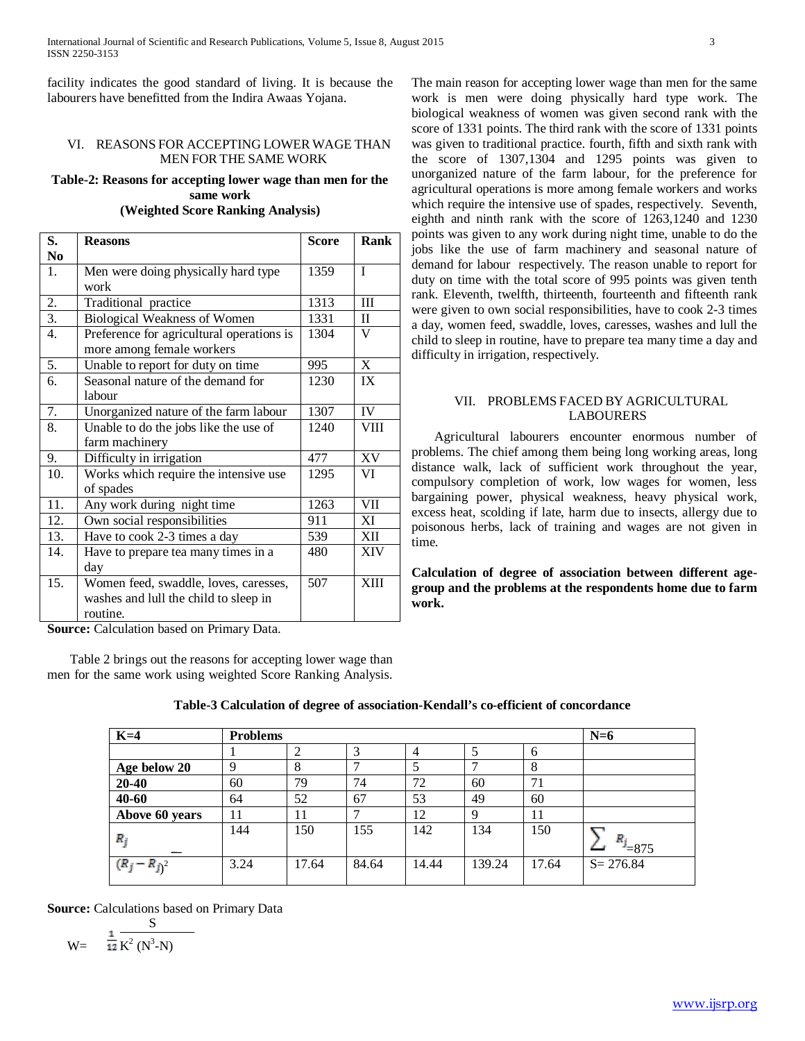facility indicates the good standard of living. It is because the labourers have benefitted from the Indira Awaas Yojana.

#### VI. REASONS FOR ACCEPTING LOWER WAGE THAN MEN FORTHE SAME WORK

### **Table-2: Reasons for accepting lower wage than men for the same work (Weighted Score Ranking Analysis)**

| S.             | <b>Reasons</b>                            | <b>Score</b> | Rank         |
|----------------|-------------------------------------------|--------------|--------------|
| N <sub>0</sub> |                                           |              |              |
| 1.             | Men were doing physically hard type       | 1359         | $\mathbf{I}$ |
|                | work                                      |              |              |
| 2.             | Traditional practice                      | 1313         | III          |
| 3.             | Biological Weakness of Women              | 1331         | $\mathbf{I}$ |
| 4.             | Preference for agricultural operations is | 1304         | V            |
|                | more among female workers                 |              |              |
| 5.             | Unable to report for duty on time         | 995          | X            |
| 6.             | Seasonal nature of the demand for         | 1230         | IX           |
|                | labour                                    |              |              |
| 7.             | Unorganized nature of the farm labour     | 1307         | <b>IV</b>    |
| 8.             | Unable to do the jobs like the use of     | 1240         | <b>VIII</b>  |
|                | farm machinery                            |              |              |
| 9.             | Difficulty in irrigation                  | 477          | XV           |
| 10.            | Works which require the intensive use     | 1295         | VI           |
|                | of spades                                 |              |              |
| 11.            | Any work during night time                | 1263         | <b>VII</b>   |
| 12.            | Own social responsibilities               | 911          | XI           |
| 13.            | Have to cook 2-3 times a day              | 539          | XII          |
| 14.            | Have to prepare tea many times in a       | 480          | <b>XIV</b>   |
|                | day                                       |              |              |
| 15.            | Women feed, swaddle, loves, caresses,     | 507          | <b>XIII</b>  |
|                | washes and lull the child to sleep in     |              |              |
|                | routine.                                  |              |              |

**Source:** Calculation based on Primary Data.

 Table 2 brings out the reasons for accepting lower wage than men for the same work using weighted Score Ranking Analysis. The main reason for accepting lower wage than men for the same work is men were doing physically hard type work. The biological weakness of women was given second rank with the score of 1331 points. The third rank with the score of 1331 points was given to traditional practice. fourth, fifth and sixth rank with the score of 1307,1304 and 1295 points was given to unorganized nature of the farm labour, for the preference for agricultural operations is more among female workers and works which require the intensive use of spades, respectively. Seventh, eighth and ninth rank with the score of 1263,1240 and 1230 points was given to any work during night time, unable to do the jobs like the use of farm machinery and seasonal nature of demand for labour respectively. The reason unable to report for duty on time with the total score of 995 points was given tenth rank. Eleventh, twelfth, thirteenth, fourteenth and fifteenth rank were given to own social responsibilities, have to cook 2-3 times a day, women feed, swaddle, loves, caresses, washes and lull the child to sleep in routine, have to prepare tea many time a day and difficulty in irrigation, respectively.

## VII. PROBLEMS FACED BY AGRICULTURAL LABOURERS

 Agricultural labourers encounter enormous number of problems. The chief among them being long working areas, long distance walk, lack of sufficient work throughout the year, compulsory completion of work, low wages for women, less bargaining power, physical weakness, heavy physical work, excess heat, scolding if late, harm due to insects, allergy due to poisonous herbs, lack of training and wages are not given in time.

**Calculation of degree of association between different agegroup and the problems at the respondents home due to farm work.**

| $K=4$           | <b>Problems</b> |                |       |                |        | $N=6$ |                          |
|-----------------|-----------------|----------------|-------|----------------|--------|-------|--------------------------|
|                 |                 | $\overline{2}$ | 3     | $\overline{4}$ | 5      | 6     |                          |
| Age below 20    | 9               | 8              |       | 5              |        | 8     |                          |
| $20 - 40$       | 60              | 79             | 74    | 72             | 60     | 71    |                          |
| 40-60           | 64              | 52             | 67    | 53             | 49     | 60    |                          |
| Above 60 years  | 11              | 11             |       | 12             | 9      | 11    |                          |
| $R_j$           | 144             | 150            | 155   | 142            | 134    | 150   | П.<br>$\frac{1}{2}$ =875 |
| $(R_j - R_j)^2$ | 3.24            | 17.64          | 84.64 | 14.44          | 139.24 | 17.64 | $S = 276.84$             |

## **Table-3 Calculation of degree of association-Kendall's co-efficient of concordance**

**Source:** Calculations based on Primary Data

 S  $W = \overline{12} K^2 (N^3-N)$